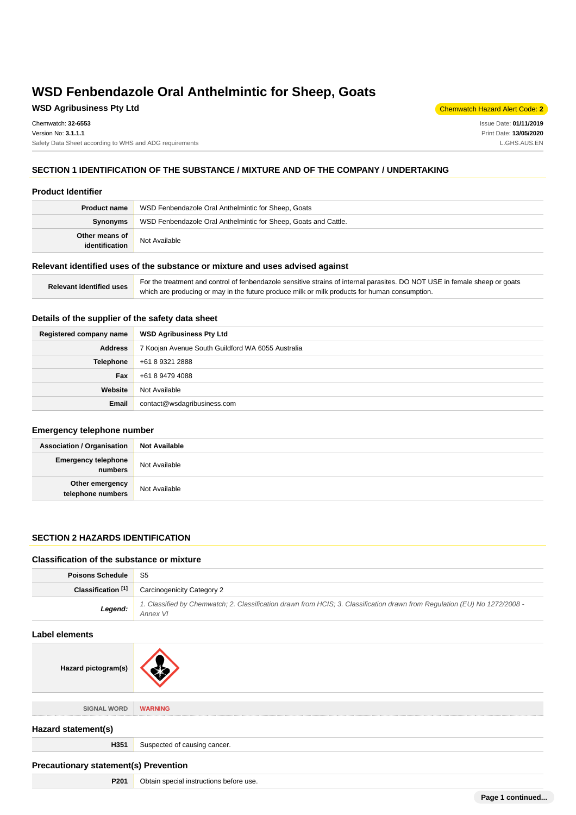# **WSD Agribusiness Pty Ltd** Chemwatch Hazard Alert Code: **2**

Issue Date: **01/11/2019** Print Date: **13/05/2020** L.GHS.AUS.EN

# **SECTION 1 IDENTIFICATION OF THE SUBSTANCE / MIXTURE AND OF THE COMPANY / UNDERTAKING**

#### **Product Identifier**

| <b>Product name</b>              | WSD Fenbendazole Oral Anthelmintic for Sheep, Goats             |  |
|----------------------------------|-----------------------------------------------------------------|--|
| Synonyms                         | WSD Fenbendazole Oral Anthelmintic for Sheep, Goats and Cattle. |  |
| Other means of<br>identification | Not Available                                                   |  |

#### **Relevant identified uses of the substance or mixture and uses advised against**

| Relevant identified uses | For the treatment and control of fenbendazole sensitive strains of internal parasites. DO NOT USE in female sheep or goats |
|--------------------------|----------------------------------------------------------------------------------------------------------------------------|
|                          | which are producing or may in the future produce milk or milk products for human consumption.                              |

# **Details of the supplier of the safety data sheet**

| Registered company name | <b>WSD Agribusiness Pty Ltd</b>                   |
|-------------------------|---------------------------------------------------|
| <b>Address</b>          | 7 Koojan Avenue South Guildford WA 6055 Australia |
| Telephone               | +61 8 9321 2888                                   |
| Fax                     | +61 8 9479 4088                                   |
| Website                 | Not Available                                     |
| Email                   | contact@wsdagribusiness.com                       |

### **Emergency telephone number**

| <b>Association / Organisation</b>     | <b>Not Available</b> |
|---------------------------------------|----------------------|
| <b>Emergency telephone</b><br>numbers | Not Available        |
| Other emergency<br>telephone numbers  | Not Available        |

## **SECTION 2 HAZARDS IDENTIFICATION**

#### **Classification of the substance or mixture**

Hazard pictogram(s)

| <b>Poisons Schedule</b>       | S5                                                                                                                                     |  |
|-------------------------------|----------------------------------------------------------------------------------------------------------------------------------------|--|
| Classification <sup>[1]</sup> | <b>Carcinogenicity Category 2</b>                                                                                                      |  |
| Legend:                       | 1. Classified by Chemwatch; 2. Classification drawn from HCIS; 3. Classification drawn from Regulation (EU) No 1272/2008 -<br>Annex VI |  |
| Label elements                |                                                                                                                                        |  |
|                               |                                                                                                                                        |  |

| SIGNAL WORD         | <b>WARNING</b>               |
|---------------------|------------------------------|
| Hazard statement(s) |                              |
| H351                | Suspected of causing cancer. |
|                     |                              |

# **Precautionary statement(s) Prevention**

| P201 | Obtain special instructions before use. |
|------|-----------------------------------------|
|------|-----------------------------------------|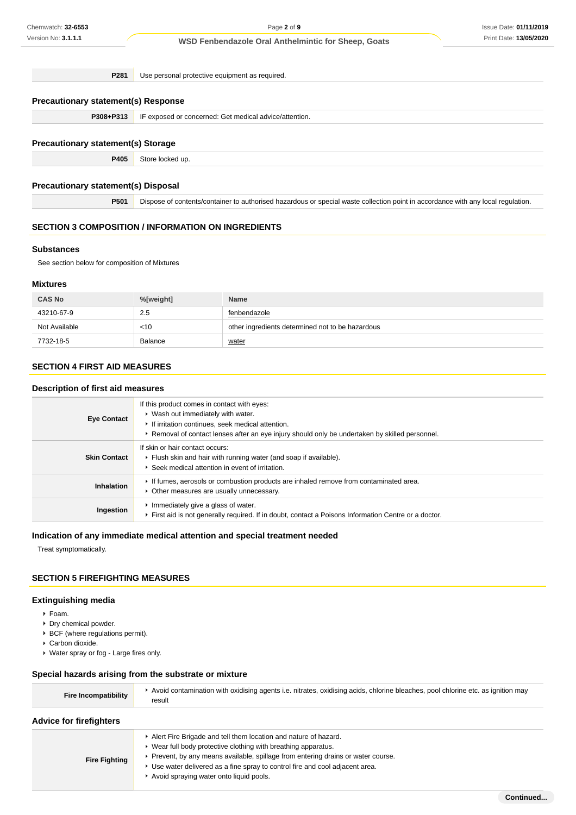**P281** Use personal protective equipment as required.

# **Precautionary statement(s) Response**

**P308+P313** IF exposed or concerned: Get medical advice/attention.

#### **Precautionary statement(s) Storage**

**P405** Store locked up.

#### **Precautionary statement(s) Disposal**

**P501** Dispose of contents/container to authorised hazardous or special waste collection point in accordance with any local regulation.

## **SECTION 3 COMPOSITION / INFORMATION ON INGREDIENTS**

#### **Substances**

See section below for composition of Mixtures

#### **Mixtures**

| <b>CAS No</b> | %[weight] | <b>Name</b>                                      |
|---------------|-----------|--------------------------------------------------|
| 43210-67-9    | 2.5       | fenbendazole                                     |
| Not Available | $<$ 10    | other ingredients determined not to be hazardous |
| 7732-18-5     | Balance   | water                                            |

# **SECTION 4 FIRST AID MEASURES**

### **Description of first aid measures**

| <b>Eye Contact</b>  | If this product comes in contact with eyes:<br>▶ Wash out immediately with water.<br>If irritation continues, seek medical attention.<br>► Removal of contact lenses after an eye injury should only be undertaken by skilled personnel. |
|---------------------|------------------------------------------------------------------------------------------------------------------------------------------------------------------------------------------------------------------------------------------|
| <b>Skin Contact</b> | If skin or hair contact occurs:<br>Flush skin and hair with running water (and soap if available).<br>Seek medical attention in event of irritation.                                                                                     |
| Inhalation          | If fumes, aerosols or combustion products are inhaled remove from contaminated area.<br>• Other measures are usually unnecessary.                                                                                                        |
| Ingestion           | Inmediately give a glass of water.<br>First aid is not generally required. If in doubt, contact a Poisons Information Centre or a doctor.                                                                                                |

### **Indication of any immediate medical attention and special treatment needed**

Treat symptomatically.

# **SECTION 5 FIREFIGHTING MEASURES**

#### **Extinguishing media**

- Foam.
- Dry chemical powder.
- $\cdot$  BCF (where regulations permit).
- Carbon dioxide.
- Water spray or fog Large fires only.

# **Special hazards arising from the substrate or mixture**

| <b>Fire Incompatibility</b> | Avoid contamination with oxidising agents i.e. nitrates, oxidising acids, chlorine bleaches, pool chlorine etc. as ignition may<br>result |
|-----------------------------|-------------------------------------------------------------------------------------------------------------------------------------------|
|                             |                                                                                                                                           |

# **Advice for firefighters**

| <b>Fire Fighting</b> | Alert Fire Brigade and tell them location and nature of hazard.                   |
|----------------------|-----------------------------------------------------------------------------------|
|                      | ► Wear full body protective clothing with breathing apparatus.                    |
|                      | ► Prevent, by any means available, spillage from entering drains or water course. |
|                      | ► Use water delivered as a fine spray to control fire and cool adjacent area.     |
|                      | Avoid spraying water onto liquid pools.                                           |
|                      |                                                                                   |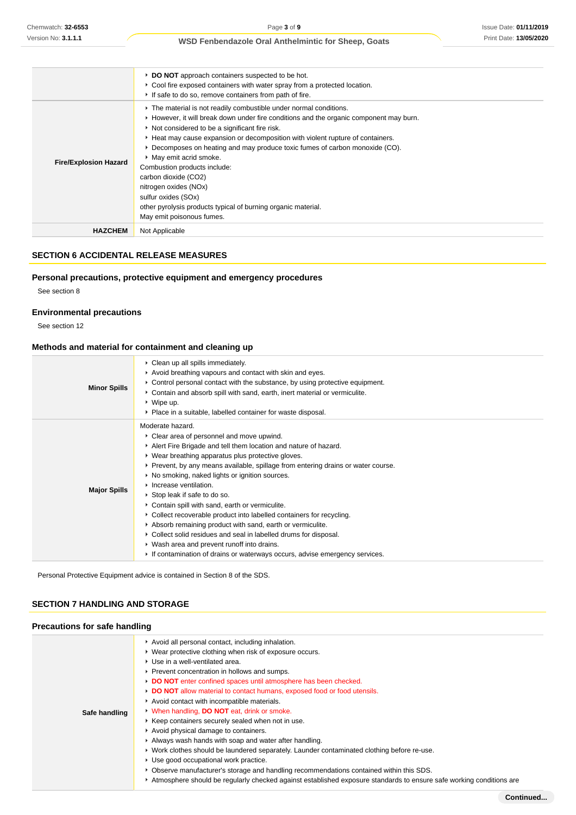|                              | DO NOT approach containers suspected to be hot.<br>• Cool fire exposed containers with water spray from a protected location.<br>If safe to do so, remove containers from path of fire.                                                                                                                                                                                                                                                                                                                                                                                                                          |
|------------------------------|------------------------------------------------------------------------------------------------------------------------------------------------------------------------------------------------------------------------------------------------------------------------------------------------------------------------------------------------------------------------------------------------------------------------------------------------------------------------------------------------------------------------------------------------------------------------------------------------------------------|
| <b>Fire/Explosion Hazard</b> | The material is not readily combustible under normal conditions.<br>► However, it will break down under fire conditions and the organic component may burn.<br>Not considered to be a significant fire risk.<br>► Heat may cause expansion or decomposition with violent rupture of containers.<br>▶ Decomposes on heating and may produce toxic fumes of carbon monoxide (CO).<br>• May emit acrid smoke.<br>Combustion products include:<br>carbon dioxide (CO2)<br>nitrogen oxides (NOx)<br>sulfur oxides (SOx)<br>other pyrolysis products typical of burning organic material.<br>May emit poisonous fumes. |
| <b>HAZCHEM</b>               | Not Applicable                                                                                                                                                                                                                                                                                                                                                                                                                                                                                                                                                                                                   |

# **SECTION 6 ACCIDENTAL RELEASE MEASURES**

# **Personal precautions, protective equipment and emergency procedures**

See section 8

# **Environmental precautions**

See section 12

# **Methods and material for containment and cleaning up**

| <b>Minor Spills</b> | • Clean up all spills immediately.<br>Avoid breathing vapours and contact with skin and eyes.<br>► Control personal contact with the substance, by using protective equipment.<br>Contain and absorb spill with sand, earth, inert material or vermiculite.<br>$*$ Wipe up.<br>• Place in a suitable, labelled container for waste disposal.                                                                                                                                                                                                                                                                                                                                                                                                                                      |
|---------------------|-----------------------------------------------------------------------------------------------------------------------------------------------------------------------------------------------------------------------------------------------------------------------------------------------------------------------------------------------------------------------------------------------------------------------------------------------------------------------------------------------------------------------------------------------------------------------------------------------------------------------------------------------------------------------------------------------------------------------------------------------------------------------------------|
| <b>Major Spills</b> | Moderate hazard.<br>• Clear area of personnel and move upwind.<br>Alert Fire Brigade and tell them location and nature of hazard.<br>• Wear breathing apparatus plus protective gloves.<br>► Prevent, by any means available, spillage from entering drains or water course.<br>• No smoking, naked lights or ignition sources.<br>Increase ventilation.<br>▶ Stop leak if safe to do so.<br>Contain spill with sand, earth or vermiculite.<br>• Collect recoverable product into labelled containers for recycling.<br>Absorb remaining product with sand, earth or vermiculite.<br>Collect solid residues and seal in labelled drums for disposal.<br>• Wash area and prevent runoff into drains.<br>If contamination of drains or waterways occurs, advise emergency services. |

Personal Protective Equipment advice is contained in Section 8 of the SDS.

# **SECTION 7 HANDLING AND STORAGE**

# **Precautions for safe handling**

|               | Avoid all personal contact, including inhalation.                                                                   |
|---------------|---------------------------------------------------------------------------------------------------------------------|
|               | • Wear protective clothing when risk of exposure occurs.                                                            |
|               | Use in a well-ventilated area.                                                                                      |
|               | ▶ Prevent concentration in hollows and sumps.                                                                       |
|               | DO NOT enter confined spaces until atmosphere has been checked.                                                     |
|               | DO NOT allow material to contact humans, exposed food or food utensils.                                             |
|               | Avoid contact with incompatible materials.                                                                          |
| Safe handling | V When handling, DO NOT eat, drink or smoke.                                                                        |
|               | ▶ Keep containers securely sealed when not in use.                                                                  |
|               | Avoid physical damage to containers.                                                                                |
|               | Always wash hands with soap and water after handling.                                                               |
|               | ▶ Work clothes should be laundered separately. Launder contaminated clothing before re-use.                         |
|               | ▶ Use good occupational work practice.                                                                              |
|               | Observe manufacturer's storage and handling recommendations contained within this SDS.                              |
|               | Atmosphere should be requiarly checked against established exposure standards to ensure safe working conditions are |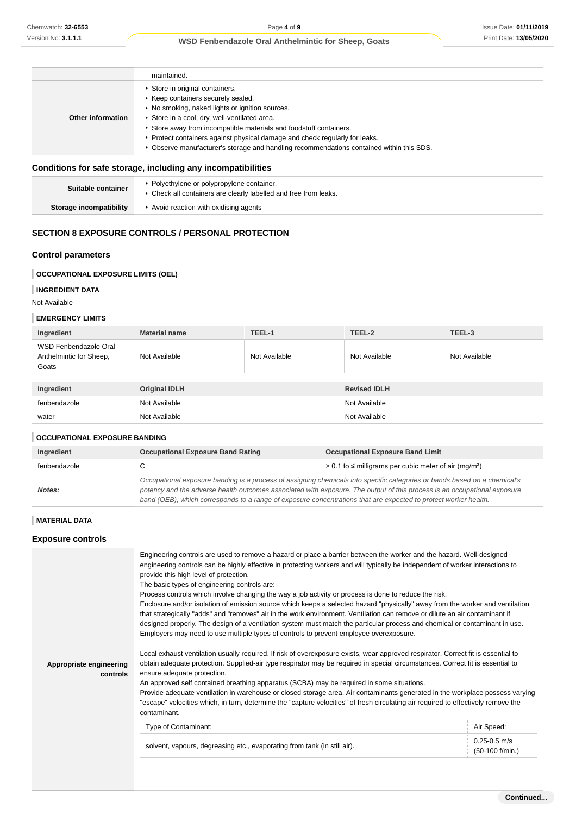|                   | maintained.                                                                                                                                                                                                                                                                                                                                                                                                          |
|-------------------|----------------------------------------------------------------------------------------------------------------------------------------------------------------------------------------------------------------------------------------------------------------------------------------------------------------------------------------------------------------------------------------------------------------------|
| Other information | Store in original containers.<br>▶ Keep containers securely sealed.<br>• No smoking, naked lights or ignition sources.<br>Store in a cool, dry, well-ventilated area.<br>Store away from incompatible materials and foodstuff containers.<br>► Protect containers against physical damage and check regularly for leaks.<br>▶ Observe manufacturer's storage and handling recommendations contained within this SDS. |

# **Conditions for safe storage, including any incompatibilities**

| Suitable container      | Polyethylene or polypropylene container.<br>* Check all containers are clearly labelled and free from leaks. |
|-------------------------|--------------------------------------------------------------------------------------------------------------|
| Storage incompatibility | Avoid reaction with oxidising agents                                                                         |

# **SECTION 8 EXPOSURE CONTROLS / PERSONAL PROTECTION**

### **Control parameters**

### **OCCUPATIONAL EXPOSURE LIMITS (OEL)**

# **INGREDIENT DATA**

#### **EMERGENCY LIMITS**

| Ingredient                                                | <b>Material name</b> | TEEL-1        | TEEL-2              | TEEL-3        |
|-----------------------------------------------------------|----------------------|---------------|---------------------|---------------|
| WSD Fenbendazole Oral<br>Anthelmintic for Sheep,<br>Goats | Not Available        | Not Available | Not Available       | Not Available |
|                                                           |                      |               |                     |               |
| Ingredient                                                | <b>Original IDLH</b> |               | <b>Revised IDLH</b> |               |
| fenbendazole                                              | Not Available        |               | Not Available       |               |
| water                                                     | Not Available        |               | Not Available       |               |

#### **OCCUPATIONAL EXPOSURE BANDING**

| Ingredient   | <b>Occupational Exposure Band Rating</b>                                                                                                                                                                                                                                                                                                                                 | <b>Occupational Exposure Band Limit</b>                                  |
|--------------|--------------------------------------------------------------------------------------------------------------------------------------------------------------------------------------------------------------------------------------------------------------------------------------------------------------------------------------------------------------------------|--------------------------------------------------------------------------|
| fenbendazole |                                                                                                                                                                                                                                                                                                                                                                          | $> 0.1$ to $\leq$ milligrams per cubic meter of air (mg/m <sup>3</sup> ) |
| Notes:       | Occupational exposure banding is a process of assigning chemicals into specific categories or bands based on a chemical's<br>potency and the adverse health outcomes associated with exposure. The output of this process is an occupational exposure<br>band (OEB), which corresponds to a range of exposure concentrations that are expected to protect worker health. |                                                                          |

# **MATERIAL DATA**

# **Exposure controls**

| Chemwatch: 32-6553                                                                        | Page 4 of 9<br><b>Issue Date: 01/11/2</b>                                                                                                                                                                                                                                                                                                                                |               |                                                                                                                                                                                                                                                        |                                       |  |
|-------------------------------------------------------------------------------------------|--------------------------------------------------------------------------------------------------------------------------------------------------------------------------------------------------------------------------------------------------------------------------------------------------------------------------------------------------------------------------|---------------|--------------------------------------------------------------------------------------------------------------------------------------------------------------------------------------------------------------------------------------------------------|---------------------------------------|--|
| Version No: 3.1.1.1                                                                       | <b>WSD Fenbendazole Oral Anthelmintic for Sheep, Goats</b>                                                                                                                                                                                                                                                                                                               |               |                                                                                                                                                                                                                                                        | Print Date: 13/05/20                  |  |
|                                                                                           |                                                                                                                                                                                                                                                                                                                                                                          |               |                                                                                                                                                                                                                                                        |                                       |  |
|                                                                                           | maintained.                                                                                                                                                                                                                                                                                                                                                              |               |                                                                                                                                                                                                                                                        |                                       |  |
|                                                                                           | Store in original containers.<br>▶ Keep containers securely sealed.                                                                                                                                                                                                                                                                                                      |               |                                                                                                                                                                                                                                                        |                                       |  |
| ▶ No smoking, naked lights or ignition sources.                                           |                                                                                                                                                                                                                                                                                                                                                                          |               |                                                                                                                                                                                                                                                        |                                       |  |
| <b>Other information</b>                                                                  | Store in a cool, dry, well-ventilated area.<br>Store away from incompatible materials and foodstuff containers.                                                                                                                                                                                                                                                          |               |                                                                                                                                                                                                                                                        |                                       |  |
|                                                                                           | Protect containers against physical damage and check regularly for leaks.                                                                                                                                                                                                                                                                                                |               |                                                                                                                                                                                                                                                        |                                       |  |
|                                                                                           |                                                                                                                                                                                                                                                                                                                                                                          |               | ▶ Observe manufacturer's storage and handling recommendations contained within this SDS.                                                                                                                                                               |                                       |  |
|                                                                                           | Conditions for safe storage, including any incompatibilities                                                                                                                                                                                                                                                                                                             |               |                                                                                                                                                                                                                                                        |                                       |  |
| Suitable container                                                                        | • Polyethylene or polypropylene container.<br>Check all containers are clearly labelled and free from leaks.                                                                                                                                                                                                                                                             |               |                                                                                                                                                                                                                                                        |                                       |  |
| <b>Storage incompatibility</b>                                                            | Avoid reaction with oxidising agents                                                                                                                                                                                                                                                                                                                                     |               |                                                                                                                                                                                                                                                        |                                       |  |
|                                                                                           | <b>SECTION 8 EXPOSURE CONTROLS / PERSONAL PROTECTION</b>                                                                                                                                                                                                                                                                                                                 |               |                                                                                                                                                                                                                                                        |                                       |  |
| <b>Control parameters</b>                                                                 |                                                                                                                                                                                                                                                                                                                                                                          |               |                                                                                                                                                                                                                                                        |                                       |  |
| <b>OCCUPATIONAL EXPOSURE LIMITS (OEL)</b>                                                 |                                                                                                                                                                                                                                                                                                                                                                          |               |                                                                                                                                                                                                                                                        |                                       |  |
| <b>INGREDIENT DATA</b>                                                                    |                                                                                                                                                                                                                                                                                                                                                                          |               |                                                                                                                                                                                                                                                        |                                       |  |
| Not Available                                                                             |                                                                                                                                                                                                                                                                                                                                                                          |               |                                                                                                                                                                                                                                                        |                                       |  |
| <b>EMERGENCY LIMITS</b>                                                                   |                                                                                                                                                                                                                                                                                                                                                                          |               |                                                                                                                                                                                                                                                        |                                       |  |
| Ingredient                                                                                | <b>Material name</b>                                                                                                                                                                                                                                                                                                                                                     | TEEL-1        | TEEL-2                                                                                                                                                                                                                                                 | TEEL-3                                |  |
| WSD Fenbendazole Oral                                                                     |                                                                                                                                                                                                                                                                                                                                                                          |               |                                                                                                                                                                                                                                                        |                                       |  |
| Anthelmintic for Sheep,<br>Goats                                                          | Not Available                                                                                                                                                                                                                                                                                                                                                            | Not Available | Not Available                                                                                                                                                                                                                                          | Not Available                         |  |
| Ingredient                                                                                | <b>Original IDLH</b>                                                                                                                                                                                                                                                                                                                                                     |               | <b>Revised IDLH</b>                                                                                                                                                                                                                                    |                                       |  |
| fenbendazole                                                                              | Not Available                                                                                                                                                                                                                                                                                                                                                            |               | Not Available                                                                                                                                                                                                                                          |                                       |  |
| water                                                                                     | Not Available                                                                                                                                                                                                                                                                                                                                                            |               | Not Available                                                                                                                                                                                                                                          |                                       |  |
| <b>OCCUPATIONAL EXPOSURE BANDING</b>                                                      |                                                                                                                                                                                                                                                                                                                                                                          |               |                                                                                                                                                                                                                                                        |                                       |  |
| Ingredient                                                                                | <b>Occupational Exposure Band Rating</b>                                                                                                                                                                                                                                                                                                                                 |               | <b>Occupational Exposure Band Limit</b>                                                                                                                                                                                                                |                                       |  |
| fenbendazole                                                                              | С                                                                                                                                                                                                                                                                                                                                                                        |               | $> 0.1$ to $\leq$ milligrams per cubic meter of air (mg/m <sup>3</sup> )                                                                                                                                                                               |                                       |  |
| Notes:                                                                                    | Occupational exposure banding is a process of assigning chemicals into specific categories or bands based on a chemical's<br>potency and the adverse health outcomes associated with exposure. The output of this process is an occupational exposure<br>band (OEB), which corresponds to a range of exposure concentrations that are expected to protect worker health. |               |                                                                                                                                                                                                                                                        |                                       |  |
| <b>MATERIAL DATA</b>                                                                      |                                                                                                                                                                                                                                                                                                                                                                          |               |                                                                                                                                                                                                                                                        |                                       |  |
| <b>Exposure controls</b>                                                                  |                                                                                                                                                                                                                                                                                                                                                                          |               |                                                                                                                                                                                                                                                        |                                       |  |
|                                                                                           |                                                                                                                                                                                                                                                                                                                                                                          |               | Engineering controls are used to remove a hazard or place a barrier between the worker and the hazard. Well-designed<br>engineering controls can be highly effective in protecting workers and will typically be independent of worker interactions to |                                       |  |
|                                                                                           | provide this high level of protection.<br>The basic types of engineering controls are:                                                                                                                                                                                                                                                                                   |               |                                                                                                                                                                                                                                                        |                                       |  |
|                                                                                           |                                                                                                                                                                                                                                                                                                                                                                          |               | Process controls which involve changing the way a job activity or process is done to reduce the risk.                                                                                                                                                  |                                       |  |
|                                                                                           |                                                                                                                                                                                                                                                                                                                                                                          |               | Enclosure and/or isolation of emission source which keeps a selected hazard "physically" away from the worker and ventilation                                                                                                                          |                                       |  |
|                                                                                           | that strategically "adds" and "removes" air in the work environment. Ventilation can remove or dilute an air contaminant if<br>designed properly. The design of a ventilation system must match the particular process and chemical or contaminant in use.<br>Employers may need to use multiple types of controls to prevent employee overexposure.                     |               |                                                                                                                                                                                                                                                        |                                       |  |
|                                                                                           |                                                                                                                                                                                                                                                                                                                                                                          |               | Local exhaust ventilation usually required. If risk of overexposure exists, wear approved respirator. Correct fit is essential to                                                                                                                      |                                       |  |
| Appropriate engineering                                                                   |                                                                                                                                                                                                                                                                                                                                                                          |               | obtain adequate protection. Supplied-air type respirator may be required in special circumstances. Correct fit is essential to                                                                                                                         |                                       |  |
| controls                                                                                  | ensure adequate protection.                                                                                                                                                                                                                                                                                                                                              |               |                                                                                                                                                                                                                                                        |                                       |  |
| An approved self contained breathing apparatus (SCBA) may be required in some situations. |                                                                                                                                                                                                                                                                                                                                                                          |               |                                                                                                                                                                                                                                                        |                                       |  |
|                                                                                           | Provide adequate ventilation in warehouse or closed storage area. Air contaminants generated in the workplace possess varying<br>"escape" velocities which, in turn, determine the "capture velocities" of fresh circulating air required to effectively remove the                                                                                                      |               |                                                                                                                                                                                                                                                        |                                       |  |
|                                                                                           | contaminant.                                                                                                                                                                                                                                                                                                                                                             |               |                                                                                                                                                                                                                                                        |                                       |  |
|                                                                                           | Type of Contaminant:                                                                                                                                                                                                                                                                                                                                                     |               |                                                                                                                                                                                                                                                        | Air Speed:                            |  |
|                                                                                           | solvent, vapours, degreasing etc., evaporating from tank (in still air).                                                                                                                                                                                                                                                                                                 |               |                                                                                                                                                                                                                                                        | $0.25 - 0.5$ m/s<br>$(50-100$ f/min.) |  |
|                                                                                           |                                                                                                                                                                                                                                                                                                                                                                          |               |                                                                                                                                                                                                                                                        |                                       |  |
|                                                                                           |                                                                                                                                                                                                                                                                                                                                                                          |               |                                                                                                                                                                                                                                                        |                                       |  |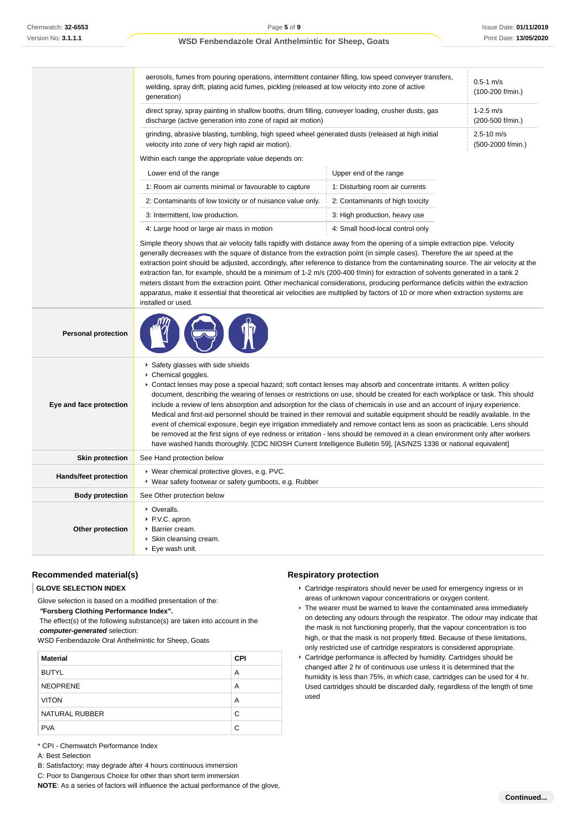|                              | aerosols, fumes from pouring operations, intermittent container filling, low speed conveyer transfers,<br>$0.5 - 1$ m/s<br>welding, spray drift, plating acid fumes, pickling (released at low velocity into zone of active<br>(100-200 f/min.)<br>generation)                                                                                                                                                                                                                                                                                                                                                                                                                                                                                                                                                                                                                                                                                               |                                  |  |
|------------------------------|--------------------------------------------------------------------------------------------------------------------------------------------------------------------------------------------------------------------------------------------------------------------------------------------------------------------------------------------------------------------------------------------------------------------------------------------------------------------------------------------------------------------------------------------------------------------------------------------------------------------------------------------------------------------------------------------------------------------------------------------------------------------------------------------------------------------------------------------------------------------------------------------------------------------------------------------------------------|----------------------------------|--|
|                              | direct spray, spray painting in shallow booths, drum filling, conveyer loading, crusher dusts, gas<br>$1-2.5$ m/s<br>discharge (active generation into zone of rapid air motion)<br>(200-500 f/min.)                                                                                                                                                                                                                                                                                                                                                                                                                                                                                                                                                                                                                                                                                                                                                         |                                  |  |
|                              | grinding, abrasive blasting, tumbling, high speed wheel generated dusts (released at high initial<br>$2.5 - 10$ m/s<br>velocity into zone of very high rapid air motion).<br>(500-2000 f/min.)                                                                                                                                                                                                                                                                                                                                                                                                                                                                                                                                                                                                                                                                                                                                                               |                                  |  |
|                              | Within each range the appropriate value depends on:                                                                                                                                                                                                                                                                                                                                                                                                                                                                                                                                                                                                                                                                                                                                                                                                                                                                                                          |                                  |  |
|                              | Lower end of the range                                                                                                                                                                                                                                                                                                                                                                                                                                                                                                                                                                                                                                                                                                                                                                                                                                                                                                                                       | Upper end of the range           |  |
|                              | 1: Room air currents minimal or favourable to capture                                                                                                                                                                                                                                                                                                                                                                                                                                                                                                                                                                                                                                                                                                                                                                                                                                                                                                        | 1: Disturbing room air currents  |  |
|                              | 2: Contaminants of low toxicity or of nuisance value only.                                                                                                                                                                                                                                                                                                                                                                                                                                                                                                                                                                                                                                                                                                                                                                                                                                                                                                   | 2: Contaminants of high toxicity |  |
|                              | 3: Intermittent, low production.                                                                                                                                                                                                                                                                                                                                                                                                                                                                                                                                                                                                                                                                                                                                                                                                                                                                                                                             | 3: High production, heavy use    |  |
|                              | 4: Large hood or large air mass in motion                                                                                                                                                                                                                                                                                                                                                                                                                                                                                                                                                                                                                                                                                                                                                                                                                                                                                                                    | 4: Small hood-local control only |  |
|                              | Simple theory shows that air velocity falls rapidly with distance away from the opening of a simple extraction pipe. Velocity<br>generally decreases with the square of distance from the extraction point (in simple cases). Therefore the air speed at the<br>extraction point should be adjusted, accordingly, after reference to distance from the contaminating source. The air velocity at the<br>extraction fan, for example, should be a minimum of 1-2 m/s (200-400 f/min) for extraction of solvents generated in a tank 2<br>meters distant from the extraction point. Other mechanical considerations, producing performance deficits within the extraction<br>apparatus, make it essential that theoretical air velocities are multiplied by factors of 10 or more when extraction systems are<br>installed or used.                                                                                                                            |                                  |  |
| <b>Personal protection</b>   |                                                                                                                                                                                                                                                                                                                                                                                                                                                                                                                                                                                                                                                                                                                                                                                                                                                                                                                                                              |                                  |  |
| Eye and face protection      | Safety glasses with side shields<br>Chemical goggles.<br>Contact lenses may pose a special hazard; soft contact lenses may absorb and concentrate irritants. A written policy<br>document, describing the wearing of lenses or restrictions on use, should be created for each workplace or task. This should<br>include a review of lens absorption and adsorption for the class of chemicals in use and an account of injury experience.<br>Medical and first-aid personnel should be trained in their removal and suitable equipment should be readily available. In the<br>event of chemical exposure, begin eye irrigation immediately and remove contact lens as soon as practicable. Lens should<br>be removed at the first signs of eye redness or irritation - lens should be removed in a clean environment only after workers<br>have washed hands thoroughly. [CDC NIOSH Current Intelligence Bulletin 59], [AS/NZS 1336 or national equivalent] |                                  |  |
| <b>Skin protection</b>       | See Hand protection below                                                                                                                                                                                                                                                                                                                                                                                                                                                                                                                                                                                                                                                                                                                                                                                                                                                                                                                                    |                                  |  |
| <b>Hands/feet protection</b> | ▶ Wear chemical protective gloves, e.g. PVC.<br>• Wear safety footwear or safety gumboots, e.g. Rubber                                                                                                                                                                                                                                                                                                                                                                                                                                                                                                                                                                                                                                                                                                                                                                                                                                                       |                                  |  |
| <b>Body protection</b>       | See Other protection below                                                                                                                                                                                                                                                                                                                                                                                                                                                                                                                                                                                                                                                                                                                                                                                                                                                                                                                                   |                                  |  |
| Other protection             | • Overalls.<br>▶ P.V.C. apron.<br>Barrier cream.<br>Skin cleansing cream.<br>$\blacktriangleright$ Eye wash unit.                                                                                                                                                                                                                                                                                                                                                                                                                                                                                                                                                                                                                                                                                                                                                                                                                                            |                                  |  |

# **Recommended material(s)**

# **GLOVE SELECTION INDEX**

Glove selection is based on a modified presentation of the:

 **"Forsberg Clothing Performance Index".**

 The effect(s) of the following substance(s) are taken into account in the **computer-generated** selection:

WSD Fenbendazole Oral Anthelmintic for Sheep, Goats

| <b>Material</b> | <b>CPI</b> |
|-----------------|------------|
| <b>BUTYL</b>    | A          |
| <b>NEOPRENE</b> | A          |
| <b>VITON</b>    | A          |
| NATURAL RUBBER  | C          |
| <b>PVA</b>      | C          |

\* CPI - Chemwatch Performance Index

#### A: Best Selection

B: Satisfactory; may degrade after 4 hours continuous immersion

C: Poor to Dangerous Choice for other than short term immersion

**NOTE**: As a series of factors will influence the actual performance of the glove,

### **Respiratory protection**

- Cartridge respirators should never be used for emergency ingress or in areas of unknown vapour concentrations or oxygen content.
- $\blacktriangleright$  The wearer must be warned to leave the contaminated area immediately on detecting any odours through the respirator. The odour may indicate that the mask is not functioning properly, that the vapour concentration is too high, or that the mask is not properly fitted. Because of these limitations, only restricted use of cartridge respirators is considered appropriate.
- Cartridge performance is affected by humidity. Cartridges should be changed after 2 hr of continuous use unless it is determined that the humidity is less than 75%, in which case, cartridges can be used for 4 hr. Used cartridges should be discarded daily, regardless of the length of time used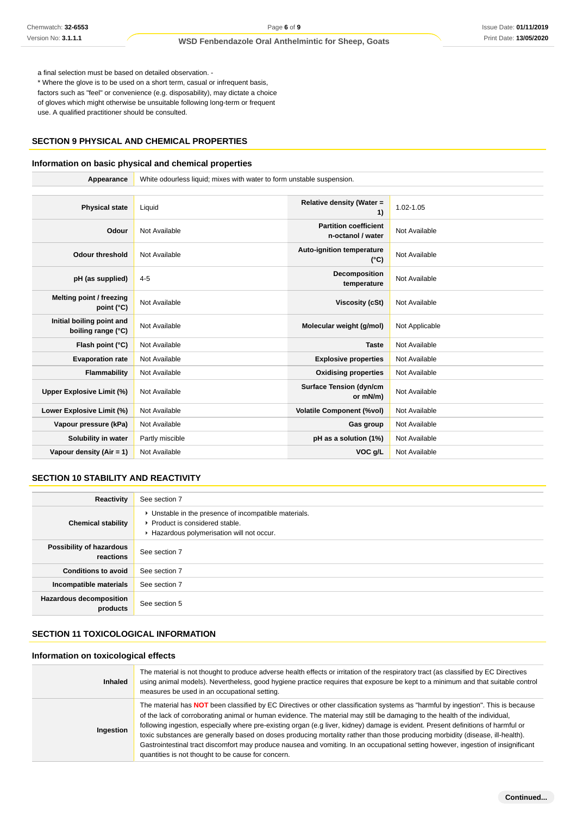# **SECTION 9 PHYSICAL AND CHEMICAL PROPERTIES**

# **Information on basic physical and chemical properties**

| Chemwatch: 32-6553                                                                                               | Page 6 of 9                                                                                                                                                                                                                                                                                                                                                                                                                                                                                                                                                                                                                                                                                                                             |                                                   |                | Issue Date: 01/11/201 |
|------------------------------------------------------------------------------------------------------------------|-----------------------------------------------------------------------------------------------------------------------------------------------------------------------------------------------------------------------------------------------------------------------------------------------------------------------------------------------------------------------------------------------------------------------------------------------------------------------------------------------------------------------------------------------------------------------------------------------------------------------------------------------------------------------------------------------------------------------------------------|---------------------------------------------------|----------------|-----------------------|
| Version No: 3.1.1.1                                                                                              | <b>WSD Fenbendazole Oral Anthelmintic for Sheep, Goats</b>                                                                                                                                                                                                                                                                                                                                                                                                                                                                                                                                                                                                                                                                              |                                                   |                | Print Date: 13/05/202 |
| a final selection must be based on detailed observation. -<br>use. A qualified practitioner should be consulted. | * Where the glove is to be used on a short term, casual or infrequent basis,<br>factors such as "feel" or convenience (e.g. disposability), may dictate a choice<br>of gloves which might otherwise be unsuitable following long-term or frequent                                                                                                                                                                                                                                                                                                                                                                                                                                                                                       |                                                   |                |                       |
|                                                                                                                  | SECTION 9 PHYSICAL AND CHEMICAL PROPERTIES                                                                                                                                                                                                                                                                                                                                                                                                                                                                                                                                                                                                                                                                                              |                                                   |                |                       |
|                                                                                                                  | Information on basic physical and chemical properties                                                                                                                                                                                                                                                                                                                                                                                                                                                                                                                                                                                                                                                                                   |                                                   |                |                       |
| Appearance                                                                                                       | White odourless liquid; mixes with water to form unstable suspension.                                                                                                                                                                                                                                                                                                                                                                                                                                                                                                                                                                                                                                                                   |                                                   |                |                       |
| <b>Physical state</b>                                                                                            | Liquid                                                                                                                                                                                                                                                                                                                                                                                                                                                                                                                                                                                                                                                                                                                                  | Relative density (Water =<br>1)                   | 1.02-1.05      |                       |
| Odour                                                                                                            | Not Available                                                                                                                                                                                                                                                                                                                                                                                                                                                                                                                                                                                                                                                                                                                           | <b>Partition coefficient</b><br>n-octanol / water | Not Available  |                       |
| <b>Odour threshold</b>                                                                                           | Not Available                                                                                                                                                                                                                                                                                                                                                                                                                                                                                                                                                                                                                                                                                                                           | <b>Auto-ignition temperature</b><br>(°C)          | Not Available  |                       |
| pH (as supplied)                                                                                                 | $4 - 5$                                                                                                                                                                                                                                                                                                                                                                                                                                                                                                                                                                                                                                                                                                                                 | Decomposition<br>temperature                      | Not Available  |                       |
| Melting point / freezing<br>point (°C)                                                                           | Not Available                                                                                                                                                                                                                                                                                                                                                                                                                                                                                                                                                                                                                                                                                                                           | <b>Viscosity (cSt)</b>                            | Not Available  |                       |
| Initial boiling point and<br>boiling range (°C)                                                                  | Not Available                                                                                                                                                                                                                                                                                                                                                                                                                                                                                                                                                                                                                                                                                                                           | Molecular weight (g/mol)                          | Not Applicable |                       |
| Flash point (°C)                                                                                                 | Not Available                                                                                                                                                                                                                                                                                                                                                                                                                                                                                                                                                                                                                                                                                                                           | Taste                                             | Not Available  |                       |
| <b>Evaporation rate</b>                                                                                          | Not Available                                                                                                                                                                                                                                                                                                                                                                                                                                                                                                                                                                                                                                                                                                                           | <b>Explosive properties</b>                       | Not Available  |                       |
| <b>Flammability</b>                                                                                              | Not Available                                                                                                                                                                                                                                                                                                                                                                                                                                                                                                                                                                                                                                                                                                                           | <b>Oxidising properties</b>                       | Not Available  |                       |
| <b>Upper Explosive Limit (%)</b>                                                                                 | Not Available                                                                                                                                                                                                                                                                                                                                                                                                                                                                                                                                                                                                                                                                                                                           | <b>Surface Tension (dyn/cm</b><br>or mN/m)        | Not Available  |                       |
| Lower Explosive Limit (%)                                                                                        | Not Available                                                                                                                                                                                                                                                                                                                                                                                                                                                                                                                                                                                                                                                                                                                           | <b>Volatile Component (%vol)</b>                  | Not Available  |                       |
| Vapour pressure (kPa)                                                                                            | Not Available                                                                                                                                                                                                                                                                                                                                                                                                                                                                                                                                                                                                                                                                                                                           | Gas group                                         | Not Available  |                       |
| Solubility in water                                                                                              | Partly miscible                                                                                                                                                                                                                                                                                                                                                                                                                                                                                                                                                                                                                                                                                                                         | pH as a solution (1%)                             | Not Available  |                       |
| Vapour density $(Air = 1)$                                                                                       | Not Available                                                                                                                                                                                                                                                                                                                                                                                                                                                                                                                                                                                                                                                                                                                           | VOC g/L                                           | Not Available  |                       |
| SECTION 10 STABILITY AND REACTIVITY                                                                              |                                                                                                                                                                                                                                                                                                                                                                                                                                                                                                                                                                                                                                                                                                                                         |                                                   |                |                       |
| <b>Reactivity</b>                                                                                                | See section 7                                                                                                                                                                                                                                                                                                                                                                                                                                                                                                                                                                                                                                                                                                                           |                                                   |                |                       |
| <b>Chemical stability</b>                                                                                        | • Unstable in the presence of incompatible materials.<br>Product is considered stable.<br>Hazardous polymerisation will not occur.                                                                                                                                                                                                                                                                                                                                                                                                                                                                                                                                                                                                      |                                                   |                |                       |
| Possibility of hazardous<br>reactions                                                                            | See section 7                                                                                                                                                                                                                                                                                                                                                                                                                                                                                                                                                                                                                                                                                                                           |                                                   |                |                       |
| <b>Conditions to avoid</b>                                                                                       | See section 7                                                                                                                                                                                                                                                                                                                                                                                                                                                                                                                                                                                                                                                                                                                           |                                                   |                |                       |
| Incompatible materials                                                                                           | See section 7                                                                                                                                                                                                                                                                                                                                                                                                                                                                                                                                                                                                                                                                                                                           |                                                   |                |                       |
| <b>Hazardous decomposition</b><br>products                                                                       | See section 5                                                                                                                                                                                                                                                                                                                                                                                                                                                                                                                                                                                                                                                                                                                           |                                                   |                |                       |
| SECTION 11 TOXICOLOGICAL INFORMATION                                                                             |                                                                                                                                                                                                                                                                                                                                                                                                                                                                                                                                                                                                                                                                                                                                         |                                                   |                |                       |
| Information on toxicological effects                                                                             |                                                                                                                                                                                                                                                                                                                                                                                                                                                                                                                                                                                                                                                                                                                                         |                                                   |                |                       |
| <b>Inhaled</b>                                                                                                   | The material is not thought to produce adverse health effects or irritation of the respiratory tract (as classified by EC Directives<br>using animal models). Nevertheless, good hygiene practice requires that exposure be kept to a minimum and that suitable control<br>measures be used in an occupational setting.                                                                                                                                                                                                                                                                                                                                                                                                                 |                                                   |                |                       |
| Ingestion                                                                                                        | The material has <b>NOT</b> been classified by EC Directives or other classification systems as "harmful by ingestion". This is because<br>of the lack of corroborating animal or human evidence. The material may still be damaging to the health of the individual,<br>following ingestion, especially where pre-existing organ (e.g liver, kidney) damage is evident. Present definitions of harmful or<br>toxic substances are generally based on doses producing mortality rather than those producing morbidity (disease, ill-health).<br>Gastrointestinal tract discomfort may produce nausea and vomiting. In an occupational setting however, ingestion of insignificant<br>quantities is not thought to be cause for concern. |                                                   |                |                       |

### **SECTION 10 STABILITY AND REACTIVITY**

| Reactivity                                 | See section 7                                                                                                                        |
|--------------------------------------------|--------------------------------------------------------------------------------------------------------------------------------------|
| <b>Chemical stability</b>                  | • Unstable in the presence of incompatible materials.<br>▶ Product is considered stable.<br>Hazardous polymerisation will not occur. |
| Possibility of hazardous<br>reactions      | See section 7                                                                                                                        |
| <b>Conditions to avoid</b>                 | See section 7                                                                                                                        |
| Incompatible materials                     | See section 7                                                                                                                        |
| <b>Hazardous decomposition</b><br>products | See section 5                                                                                                                        |

# **SECTION 11 TOXICOLOGICAL INFORMATION**

# **Information on toxicological effects**

| <b>Inhaled</b> | The material is not thought to produce adverse health effects or irritation of the respiratory tract (as classified by EC Directives<br>using animal models). Nevertheless, good hygiene practice requires that exposure be kept to a minimum and that suitable control<br>measures be used in an occupational setting.                                                                                                                                                                                                                                                                                                                                                                                                                 |
|----------------|-----------------------------------------------------------------------------------------------------------------------------------------------------------------------------------------------------------------------------------------------------------------------------------------------------------------------------------------------------------------------------------------------------------------------------------------------------------------------------------------------------------------------------------------------------------------------------------------------------------------------------------------------------------------------------------------------------------------------------------------|
| Ingestion      | The material has <b>NOT</b> been classified by EC Directives or other classification systems as "harmful by ingestion". This is because<br>of the lack of corroborating animal or human evidence. The material may still be damaging to the health of the individual,<br>following ingestion, especially where pre-existing organ (e.g liver, kidney) damage is evident. Present definitions of harmful or<br>toxic substances are generally based on doses producing mortality rather than those producing morbidity (disease, ill-health).<br>Gastrointestinal tract discomfort may produce nausea and vomiting. In an occupational setting however, ingestion of insignificant<br>quantities is not thought to be cause for concern. |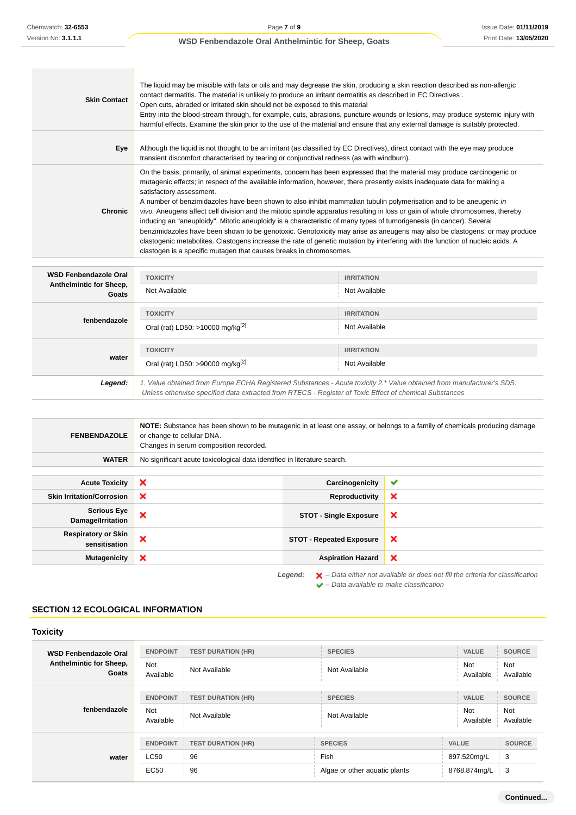| <b>Skin Contact</b> | The liquid may be miscible with fats or oils and may degrease the skin, producing a skin reaction described as non-allergic<br>contact dermatitis. The material is unlikely to produce an irritant dermatitis as described in EC Directives.<br>Open cuts, abraded or irritated skin should not be exposed to this material<br>Entry into the blood-stream through, for example, cuts, abrasions, puncture wounds or lesions, may produce systemic injury with<br>harmful effects. Examine the skin prior to the use of the material and ensure that any external damage is suitably protected.                                                                                                                                                                                                                                                                                                                                                                                                      |
|---------------------|------------------------------------------------------------------------------------------------------------------------------------------------------------------------------------------------------------------------------------------------------------------------------------------------------------------------------------------------------------------------------------------------------------------------------------------------------------------------------------------------------------------------------------------------------------------------------------------------------------------------------------------------------------------------------------------------------------------------------------------------------------------------------------------------------------------------------------------------------------------------------------------------------------------------------------------------------------------------------------------------------|
| Eye                 | Although the liquid is not thought to be an irritant (as classified by EC Directives), direct contact with the eye may produce<br>transient discomfort characterised by tearing or conjunctival redness (as with windburn).                                                                                                                                                                                                                                                                                                                                                                                                                                                                                                                                                                                                                                                                                                                                                                          |
| <b>Chronic</b>      | On the basis, primarily, of animal experiments, concern has been expressed that the material may produce carcinogenic or<br>mutagenic effects; in respect of the available information, however, there presently exists inadequate data for making a<br>satisfactory assessment.<br>A number of benzimidazoles have been shown to also inhibit mammalian tubulin polymerisation and to be aneugenic in<br>vivo. Aneugens affect cell division and the mitotic spindle apparatus resulting in loss or gain of whole chromosomes, thereby<br>inducing an "aneuploidy". Mitotic aneuploidy is a characteristic of many types of tumorigenesis (in cancer). Several<br>benzimidazoles have been shown to be genotoxic. Genotoxicity may arise as aneugens may also be clastogens, or may produce<br>clastogenic metabolites. Clastogens increase the rate of genetic mutation by interfering with the function of nucleic acids. A<br>clastogen is a specific mutagen that causes breaks in chromosomes. |

| <b>WSD Fenbendazole Oral</b><br>Anthelmintic for Sheep,<br>Goats | <b>TOXICITY</b>                                                                                                                                                                                                                 | <b>IRRITATION</b> |
|------------------------------------------------------------------|---------------------------------------------------------------------------------------------------------------------------------------------------------------------------------------------------------------------------------|-------------------|
|                                                                  | Not Available                                                                                                                                                                                                                   | Not Available     |
| fenbendazole                                                     | <b>TOXICITY</b>                                                                                                                                                                                                                 | <b>IRRITATION</b> |
|                                                                  | Oral (rat) LD50: >10000 mg/kg <sup>[2]</sup>                                                                                                                                                                                    | Not Available     |
| water                                                            | <b>TOXICITY</b>                                                                                                                                                                                                                 | <b>IRRITATION</b> |
|                                                                  | Oral (rat) LD50: >90000 mg/kg <sup>[2]</sup>                                                                                                                                                                                    | Not Available     |
| Legend:                                                          | 1. Value obtained from Europe ECHA Registered Substances - Acute toxicity 2.* Value obtained from manufacturer's SDS.<br>Unless otherwise specified data extracted from RTECS - Register of Toxic Effect of chemical Substances |                   |

| <b>FENBENDAZOLE</b>                                                                                           | NOTE: Substance has been shown to be mutagenic in at least one assay, or belongs to a family of chemicals producing damage<br>or change to cellular DNA.<br>Changes in serum composition recorded. |                                 |                           |
|---------------------------------------------------------------------------------------------------------------|----------------------------------------------------------------------------------------------------------------------------------------------------------------------------------------------------|---------------------------------|---------------------------|
| <b>WATER</b>                                                                                                  | No significant acute toxicological data identified in literature search.                                                                                                                           |                                 |                           |
|                                                                                                               |                                                                                                                                                                                                    |                                 |                           |
| <b>Acute Toxicity</b>                                                                                         | ×                                                                                                                                                                                                  | Carcinogenicity                 | ✔                         |
| <b>Skin Irritation/Corrosion</b>                                                                              | ×                                                                                                                                                                                                  | <b>Reproductivity</b>           | ×                         |
| <b>Serious Eye</b><br>Damage/Irritation                                                                       | ×                                                                                                                                                                                                  | <b>STOT - Single Exposure</b>   | $\boldsymbol{\mathsf{x}}$ |
| <b>Respiratory or Skin</b><br>sensitisation                                                                   | ×                                                                                                                                                                                                  | <b>STOT - Repeated Exposure</b> | $\boldsymbol{\mathsf{x}}$ |
| <b>Mutagenicity</b>                                                                                           | ×                                                                                                                                                                                                  | <b>Aspiration Hazard</b>        | $\boldsymbol{\mathsf{x}}$ |
| $\blacktriangleright$ - Data either not available or does not fill the criteria for classification<br>Legend: |                                                                                                                                                                                                    |                                 |                           |

– Data available to make classification

**SECTION 12 ECOLOGICAL INFORMATION**

| WSD Fenbendazole Oral<br>Anthelmintic for Sheep,<br>Goats | <b>ENDPOINT</b><br><b>Not</b><br>Available | <b>TEST DURATION (HR)</b><br>Not Available     | <b>SPECIES</b><br>Not Available                         | <b>VALUE</b><br>Not<br>Available            | <b>SOURCE</b><br>Not<br>Available        |
|-----------------------------------------------------------|--------------------------------------------|------------------------------------------------|---------------------------------------------------------|---------------------------------------------|------------------------------------------|
| fenbendazole                                              | <b>ENDPOINT</b><br><b>Not</b><br>Available | <b>TEST DURATION (HR)</b><br>Not Available     | <b>SPECIES</b><br>Not Available                         | <b>VALUE</b><br><b>Not</b><br>Available     | <b>SOURCE</b><br><b>Not</b><br>Available |
| water                                                     | <b>LC50</b><br>EC50                        | <b>ENDPOINT TEST DURATION (HR)</b><br>96<br>96 | <b>SPECIES</b><br>Fish<br>Algae or other aquatic plants | <b>VALUE</b><br>897.520mg/L<br>8768.874mg/L | <b>SOURCE</b><br>3<br>3                  |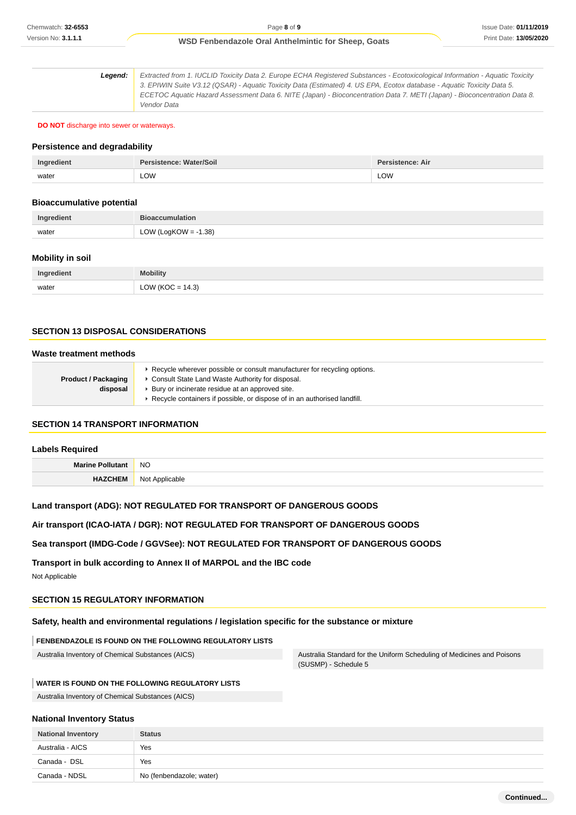**Legend:** Extracted from 1. IUCLID Toxicity Data 2. Europe ECHA Registered Substances - Ecotoxicological Information - Aquatic Toxicity 3. EPIWIN Suite V3.12 (QSAR) - Aquatic Toxicity Data (Estimated) 4. US EPA, Ecotox database - Aquatic Toxicity Data 5. ECETOC Aquatic Hazard Assessment Data 6. NITE (Japan) - Bioconcentration Data 7. METI (Japan) - Bioconcentration Data 8. Vendor Data

**DO NOT** discharge into sewer or waterways.

#### **Persistence and degradability**

| Ingredient | Persistence: Water/Soil | <b>Persistence: Air</b> |
|------------|-------------------------|-------------------------|
| water      | LOW<br>$\sim$ $\sim$    | LOW                     |

#### **Bioaccumulative potential**

| Ingredient | <b>Bioaccumulation</b>     |
|------------|----------------------------|
| water      | OW (LogKOW = -1.38)<br>∟∪w |

#### **Mobility in soil**

| Ingredient | <b>Mobility</b>      |
|------------|----------------------|
| water      | LOW ( $KOC = 14.3$ ) |

#### **SECTION 13 DISPOSAL CONSIDERATIONS**

#### **Waste treatment methods**

|                            | ► Recycle wherever possible or consult manufacturer for recycling options. |  |
|----------------------------|----------------------------------------------------------------------------|--|
| <b>Product / Packaging</b> | Consult State Land Waste Authority for disposal.                           |  |
| disposal                   | ▶ Bury or incinerate residue at an approved site.                          |  |
|                            | Recycle containers if possible, or dispose of in an authorised landfill.   |  |

### **SECTION 14 TRANSPORT INFORMATION**

# **Labels Required**

| Mort. | <b>NC</b><br>$\sim$        |
|-------|----------------------------|
|       | <b>N<sub>1</sub></b><br>17 |

# **Land transport (ADG): NOT REGULATED FOR TRANSPORT OF DANGEROUS GOODS**

#### **Air transport (ICAO-IATA / DGR): NOT REGULATED FOR TRANSPORT OF DANGEROUS GOODS**

# **Sea transport (IMDG-Code / GGVSee): NOT REGULATED FOR TRANSPORT OF DANGEROUS GOODS**

**Transport in bulk according to Annex II of MARPOL and the IBC code**

Not Applicable

# **SECTION 15 REGULATORY INFORMATION**

### **Safety, health and environmental regulations / legislation specific for the substance or mixture**

#### **FENBENDAZOLE IS FOUND ON THE FOLLOWING REGULATORY LISTS**

Australia Inventory of Chemical Substances (AICS) Australia Standard for the Uniform Scheduling of Medicines and Poisons (SUSMP) - Schedule 5

#### **WATER IS FOUND ON THE FOLLOWING REGULATORY LISTS**

Australia Inventory of Chemical Substances (AICS)

#### **National Inventory Status**

| <b>National Inventory</b> | <b>Status</b>            |
|---------------------------|--------------------------|
| Australia - AICS          | Yes                      |
| Canada - DSL              | Yes                      |
| Canada - NDSL             | No (fenbendazole; water) |